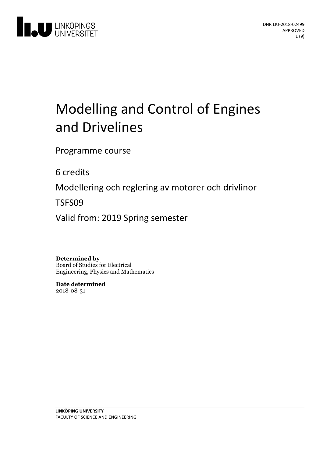

# Modelling and Control of Engines and Drivelines

Programme course

6 credits

Modellering och reglering av motorer och drivlinor

TSFS09

Valid from: 2019 Spring semester

**Determined by** Board of Studies for Electrical Engineering, Physics and Mathematics

**Date determined** 2018-08-31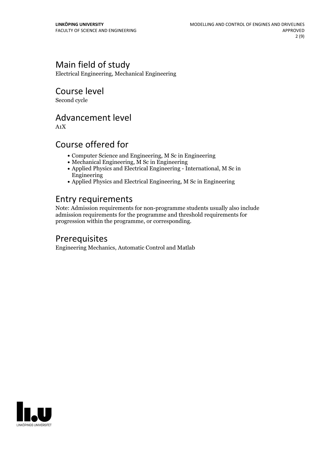# Main field of study

Electrical Engineering, Mechanical Engineering

# Course level

Second cycle

### Advancement level

A1X

## Course offered for

- Computer Science and Engineering, M Sc in Engineering
- Mechanical Engineering, M Sc in Engineering
- Applied Physics and Electrical Engineering International, M Sc in Engineering
- Applied Physics and Electrical Engineering, M Sc in Engineering

## Entry requirements

Note: Admission requirements for non-programme students usually also include admission requirements for the programme and threshold requirements for progression within the programme, or corresponding.

# Prerequisites

Engineering Mechanics, Automatic Control and Matlab

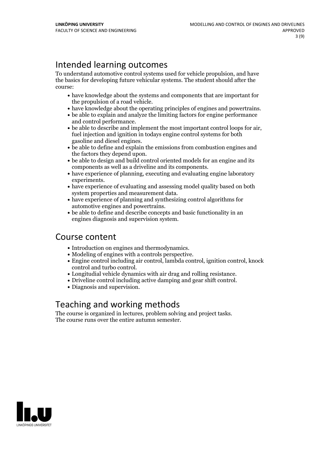# Intended learning outcomes

To understand automotive control systems used for vehicle propulsion, and have the basics for developing future vehicular systems. The student should after the course:

- have knowledge about the systems and components that are important for
- the propulsion of a road vehicle.<br>• have knowledge about the operating principles of engines and powertrains.<br>• be able to explain and analyze the limiting factors for engine performance
- 
- be able to describe and implement the most important control loops for air, fuel injection and ignition in todays engine control systems for both gasoline and diesel engines.
- $\bullet$  be able to define and explain the emissions from combustion engines and
- the factors they depend upon.<br>• be able to design and build control oriented models for an engine and its components as well as a driveline and its components.<br>• have experience of planning, executing and evaluating engine laboratory
- experiments.<br>• have experience of evaluating and assessing model quality based on both
- 
- system properties and measurement data.<br>• have experience of planning and synthesizing control algorithms for automotive engines and powertrains.
- $\bullet$  be able to define and describe concepts and basic functionality in an engines diagnosis and supervision system.

### Course content

- 
- 
- Introduction on engines and thermodynamics. Modeling of engines with <sup>a</sup> controls perspective. Engine control including air control, lambda control, ignition control, knock
- control and turbo control.<br>
Longitudial vehicle dynamics with air drag and rolling resistance.<br>
Driveline control including active damping and gear shift control.<br>
Diagnosis and supervision.
- 
- 

### Teaching and working methods

The course is organized in lectures, problem solving and project tasks. The course runs over the entire autumn semester.

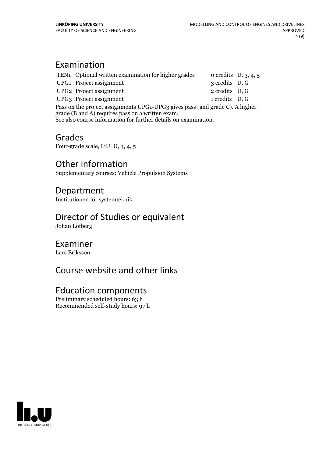# Examination

|                                                                                                                                                                                                     | TEN1 Optional written examination for higher grades |                | o credits $U, 3, 4, 5$ |
|-----------------------------------------------------------------------------------------------------------------------------------------------------------------------------------------------------|-----------------------------------------------------|----------------|------------------------|
|                                                                                                                                                                                                     | UPG1 Project assignment                             | 3 credits U, G |                        |
|                                                                                                                                                                                                     | UPG2 Project assignment                             | 2 credits U, G |                        |
|                                                                                                                                                                                                     | UPG3 Project assignment                             | 1 credits U, G |                        |
| Pass on the project assignments UPG1-UPG3 gives pass (and grade C). A higher<br>grade (B and A) requires pass on a written exam.<br>See also course information for further details on examination. |                                                     |                |                        |

### Grades

Four-grade scale, LiU, U, 3, 4, 5

### Other information

Supplementary courses: Vehicle Propulsion Systems

### Department

Institutionen för systemteknik

# Director of Studies or equivalent

Johan Löfberg

### Examiner

Lars Eriksson

# Course website and other links

### Education components

Preliminary scheduled hours: 63 h Recommended self-study hours: 97 h

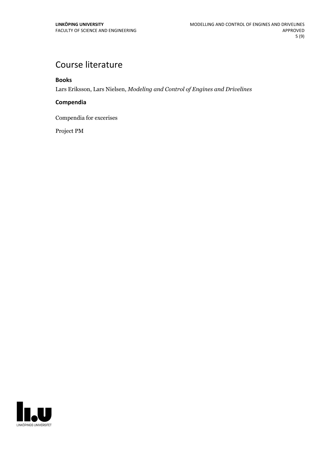# Course literature

#### **Books**

Lars Eriksson, Lars Nielsen, *Modeling and Control of Engines and Drivelines*

#### **Compendia**

Compendia for excerises

Project PM

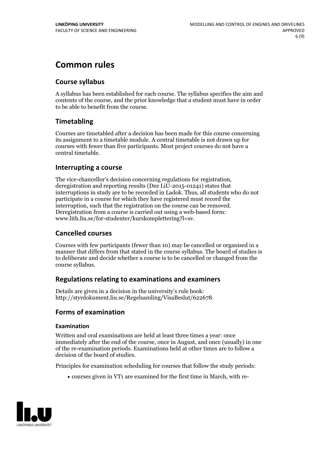# **Common rules**

#### **Course syllabus**

A syllabus has been established for each course. The syllabus specifies the aim and contents of the course, and the prior knowledge that a student must have in order to be able to benefit from the course.

#### **Timetabling**

Courses are timetabled after a decision has been made for this course concerning its assignment to a timetable module. A central timetable is not drawn up for courses with fewer than five participants. Most project courses do not have a central timetable.

#### **Interrupting a course**

The vice-chancellor's decision concerning regulations for registration, deregistration and reporting results (Dnr LiU-2015-01241) states that interruptions in study are to be recorded in Ladok. Thus, all students who do not participate in a course for which they have registered must record the interruption, such that the registration on the course can be removed. Deregistration from <sup>a</sup> course is carried outusing <sup>a</sup> web-based form: www.lith.liu.se/for-studenter/kurskomplettering?l=sv.

#### **Cancelled courses**

Courses with few participants (fewer than 10) may be cancelled or organised in a manner that differs from that stated in the course syllabus. The board of studies is to deliberate and decide whether a course is to be cancelled orchanged from the course syllabus.

#### **Regulations relatingto examinations and examiners**

Details are given in a decision in the university's rule book: http://styrdokument.liu.se/Regelsamling/VisaBeslut/622678.

#### **Forms of examination**

#### **Examination**

Written and oral examinations are held at least three times a year: once immediately after the end of the course, once in August, and once (usually) in one of the re-examination periods. Examinations held at other times are to follow a decision of the board of studies.

Principles for examination scheduling for courses that follow the study periods:

courses given in VT1 are examined for the first time in March, with re-

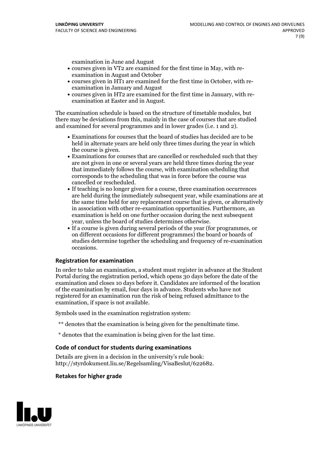examination in June and August

- courses given in VT2 are examined for the first time in May, with re-examination in August and October
- courses given in HT1 are examined for the first time in October, with re-examination in January and August
- courses given in HT2 are examined for the first time in January, with re-examination at Easter and in August.

The examination schedule is based on the structure of timetable modules, but there may be deviations from this, mainly in the case of courses that are studied and examined for several programmes and in lower grades (i.e. 1 and 2).

- Examinations for courses that the board of studies has decided are to be held in alternate years are held only three times during the year in which
- the course is given.<br>• Examinations for courses that are cancelled or rescheduled such that they are not given in one or several years are held three times during the year that immediately follows the course, with examination scheduling that corresponds to the scheduling that was in force before the course was cancelled or rescheduled.<br>• If teaching is no longer given for a course, three examination occurrences
- are held during the immediately subsequent year, while examinations are at the same time held for any replacement course that is given, or alternatively in association with other re-examination opportunities. Furthermore, an examination is held on one further occasion during the next subsequent year, unless the board of studies determines otherwise.<br>• If a course is given during several periods of the year (for programmes, or
- on different occasions for different programmes) the board orboards of studies determine together the scheduling and frequency of re-examination occasions.

#### **Registration for examination**

In order to take an examination, a student must register in advance at the Student Portal during the registration period, which opens 30 days before the date of the examination and closes 10 days before it. Candidates are informed of the location of the examination by email, four days in advance. Students who have not registered for an examination run the risk of being refused admittance to the examination, if space is not available.

Symbols used in the examination registration system:

- \*\* denotes that the examination is being given for the penultimate time.
- \* denotes that the examination is being given for the last time.

#### **Code of conduct for students during examinations**

Details are given in a decision in the university's rule book: http://styrdokument.liu.se/Regelsamling/VisaBeslut/622682.

#### **Retakes for higher grade**

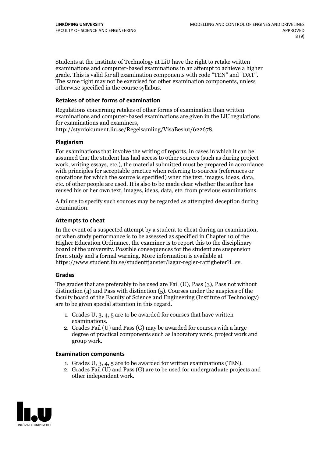Students at the Institute of Technology at LiU have the right to retake written examinations and computer-based examinations in an attempt to achieve a higher grade. This is valid for all examination components with code "TEN" and "DAT". The same right may not be exercised for other examination components, unless otherwise specified in the course syllabus.

#### **Retakes of other forms of examination**

Regulations concerning retakes of other forms of examination than written examinations and computer-based examinations are given in the LiU regulations for examinations and examiners, http://styrdokument.liu.se/Regelsamling/VisaBeslut/622678.

#### **Plagiarism**

For examinations that involve the writing of reports, in cases in which it can be assumed that the student has had access to other sources (such as during project work, writing essays, etc.), the material submitted must be prepared in accordance with principles for acceptable practice when referring to sources (references or quotations for which the source is specified) when the text, images, ideas, data, etc. of other people are used. It is also to be made clear whether the author has reused his or her own text, images, ideas, data, etc. from previous examinations.

A failure to specify such sources may be regarded as attempted deception during examination.

#### **Attempts to cheat**

In the event of <sup>a</sup> suspected attempt by <sup>a</sup> student to cheat during an examination, or when study performance is to be assessed as specified in Chapter <sup>10</sup> of the Higher Education Ordinance, the examiner is to report this to the disciplinary board of the university. Possible consequences for the student are suspension from study and a formal warning. More information is available at https://www.student.liu.se/studenttjanster/lagar-regler-rattigheter?l=sv.

#### **Grades**

The grades that are preferably to be used are Fail (U), Pass (3), Pass not without distinction  $(4)$  and Pass with distinction  $(5)$ . Courses under the auspices of the faculty board of the Faculty of Science and Engineering (Institute of Technology) are to be given special attention in this regard.

- 1. Grades U, 3, 4, 5 are to be awarded for courses that have written
- examinations. 2. Grades Fail (U) and Pass (G) may be awarded for courses with <sup>a</sup> large degree of practical components such as laboratory work, project work and group work.

#### **Examination components**

- 
- 1. Grades U, 3, 4, <sup>5</sup> are to be awarded for written examinations (TEN). 2. Grades Fail (U) and Pass (G) are to be used for undergraduate projects and other independent work.